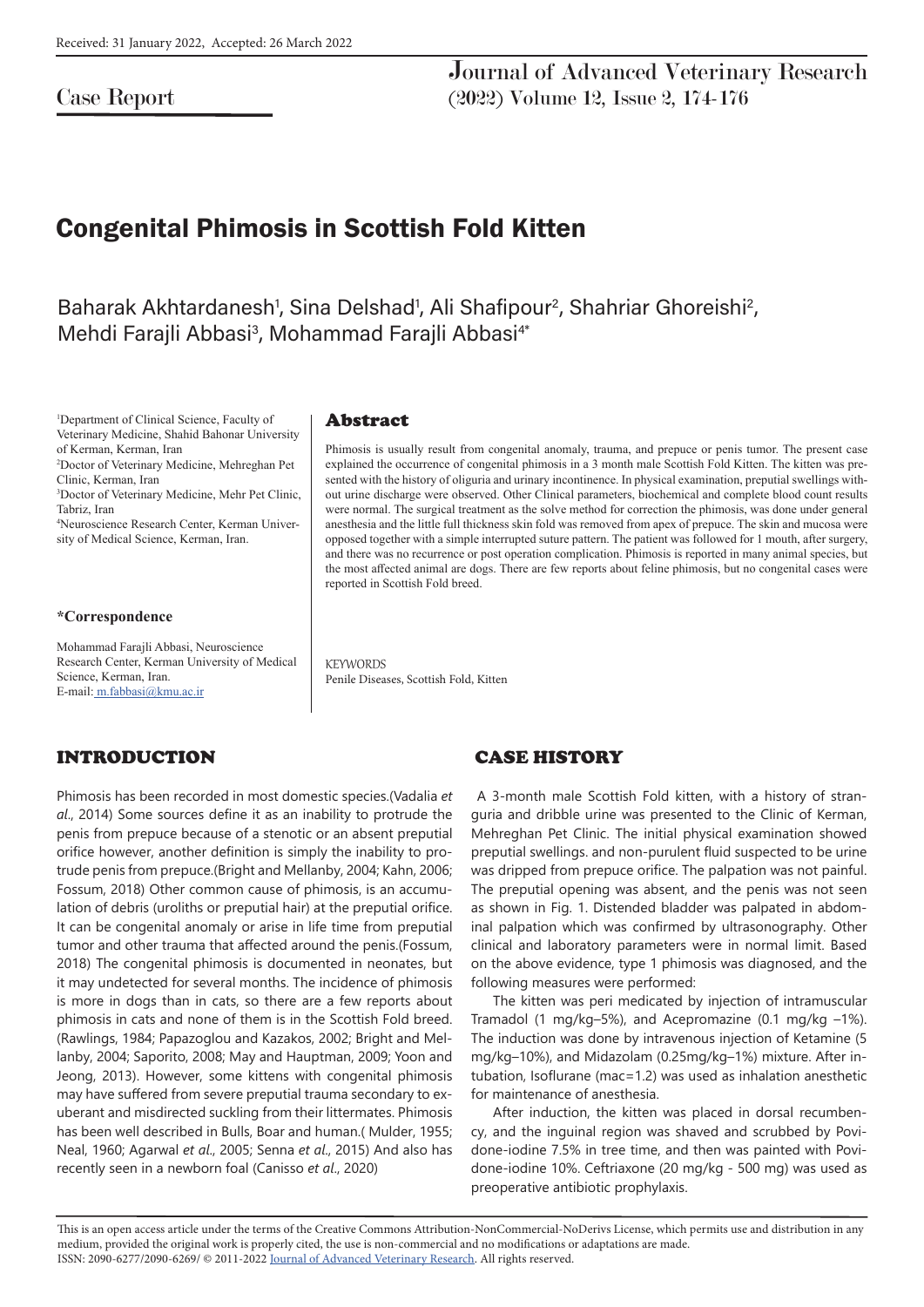## Case Report

Journal of Advanced Veterinary Research (2022) Volume 12, Issue 2, 174-176

# Congenital Phimosis in Scottish Fold Kitten

Baharak Akhtardanesh<sup>1</sup>, Sina Delshad<sup>1</sup>, Ali Shafipour<sup>2</sup>, Shahriar Ghoreishi<sup>2</sup>, Mehdi Farajli Abbasi<sup>3</sup>, Mohammad Farajli Abbasi<sup>4\*</sup>

1 Department of Clinical Science, Faculty of Veterinary Medicine, Shahid Bahonar University of Kerman, Kerman, Iran

2 Doctor of Veterinary Medicine, Mehreghan Pet Clinic, Kerman, Iran

3 Doctor of Veterinary Medicine, Mehr Pet Clinic, Tabriz, Iran

4 Neuroscience Research Center, Kerman University of Medical Science, Kerman, Iran.

#### **\*Correspondence**

Mohammad Farajli Abbasi, Neuroscience Research Center, Kerman University of Medical Science, Kerman, Iran. E-mail: m.fabbasi@kmu.ac.ir

## INTRODUCTION

Phimosis has been recorded in most domestic species.(Vadalia *et al*., 2014) Some sources define it as an inability to protrude the penis from prepuce because of a stenotic or an absent preputial orifice however, another definition is simply the inability to protrude penis from prepuce.(Bright and Mellanby, 2004; Kahn, 2006; Fossum, 2018) Other common cause of phimosis, is an accumulation of debris (uroliths or preputial hair) at the preputial orifice. It can be congenital anomaly or arise in life time from preputial tumor and other trauma that affected around the penis.(Fossum, 2018) The congenital phimosis is documented in neonates, but it may undetected for several months. The incidence of phimosis is more in dogs than in cats, so there are a few reports about phimosis in cats and none of them is in the Scottish Fold breed. (Rawlings, 1984; Papazoglou and Kazakos, 2002; Bright and Mellanby, 2004; Saporito, 2008; May and Hauptman, 2009; Yoon and Jeong, 2013). However, some kittens with congenital phimosis may have suffered from severe preputial trauma secondary to exuberant and misdirected suckling from their littermates. Phimosis has been well described in Bulls, Boar and human.( Mulder, 1955; Neal, 1960; Agarwal *et al*., 2005; Senna *et al*., 2015) And also has recently seen in a newborn foal (Canisso *et al*., 2020)

#### Abstract

Phimosis is usually result from congenital anomaly, trauma, and prepuce or penis tumor. The present case explained the occurrence of congenital phimosis in a 3 month male Scottish Fold Kitten. The kitten was presented with the history of oliguria and urinary incontinence. In physical examination, preputial swellings without urine discharge were observed. Other Clinical parameters, biochemical and complete blood count results were normal. The surgical treatment as the solve method for correction the phimosis, was done under general anesthesia and the little full thickness skin fold was removed from apex of prepuce. The skin and mucosa were opposed together with a simple interrupted suture pattern. The patient was followed for 1 mouth, after surgery, and there was no recurrence or post operation complication. Phimosis is reported in many animal species, but the most affected animal are dogs. There are few reports about feline phimosis, but no congenital cases were reported in Scottish Fold breed.

**KEYWORDS** Penile Diseases, Scottish Fold, Kitten

## CASE HISTORY

 A 3-month male Scottish Fold kitten, with a history of stranguria and dribble urine was presented to the Clinic of Kerman, Mehreghan Pet Clinic. The initial physical examination showed preputial swellings. and non-purulent fluid suspected to be urine was dripped from prepuce orifice. The palpation was not painful. The preputial opening was absent, and the penis was not seen as shown in Fig. 1. Distended bladder was palpated in abdominal palpation which was confirmed by ultrasonography. Other clinical and laboratory parameters were in normal limit. Based on the above evidence, type 1 phimosis was diagnosed, and the following measures were performed:

The kitten was peri medicated by injection of intramuscular Tramadol (1 mg/kg–5%), and Acepromazine (0.1 mg/kg –1%). The induction was done by intravenous injection of Ketamine (5 mg/kg–10%), and Midazolam (0.25mg/kg–1%) mixture. After intubation, Isoflurane (mac=1.2) was used as inhalation anesthetic for maintenance of anesthesia.

After induction, the kitten was placed in dorsal recumbency, and the inguinal region was shaved and scrubbed by Povidone-iodine 7.5% in tree time, and then was painted with Povidone-iodine 10%. Ceftriaxone (20 mg/kg - 500 mg) was used as preoperative antibiotic prophylaxis.

This is an open access article under the terms of the Creative Commons Attribution-NonCommercial-NoDerivs License, which permits use and distribution in any medium, provided the original work is properly cited, the use is non-commercial and no modifications or adaptations are made. ISSN: 2090-6277/2090-6269/ © 2011-2022 Journal of Advanced Veterinary Research. All rights reserved.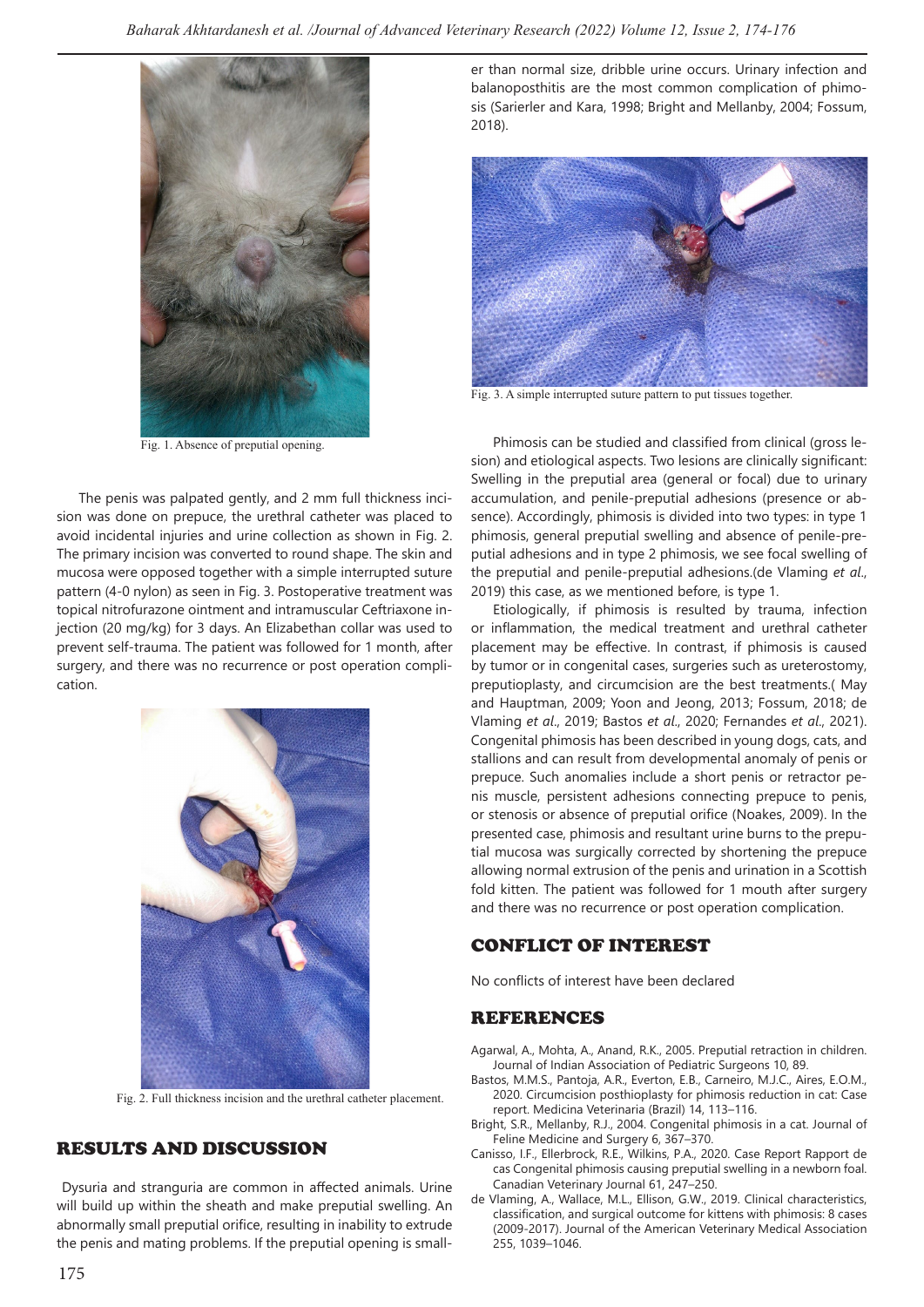

Fig. 1. Absence of preputial opening.

The penis was palpated gently, and 2 mm full thickness incision was done on prepuce, the urethral catheter was placed to avoid incidental injuries and urine collection as shown in Fig. 2. The primary incision was converted to round shape. The skin and mucosa were opposed together with a simple interrupted suture pattern (4-0 nylon) as seen in Fig. 3. Postoperative treatment was topical nitrofurazone ointment and intramuscular Ceftriaxone injection (20 mg/kg) for 3 days. An Elizabethan collar was used to prevent self-trauma. The patient was followed for 1 month, after surgery, and there was no recurrence or post operation complication.



Fig. 2. Full thickness incision and the urethral catheter placement.

## RESULTS AND DISCUSSION

 Dysuria and stranguria are common in affected animals. Urine will build up within the sheath and make preputial swelling. An abnormally small preputial orifice, resulting in inability to extrude the penis and mating problems. If the preputial opening is smaller than normal size, dribble urine occurs. Urinary infection and balanoposthitis are the most common complication of phimosis (Sarierler and Kara, 1998; Bright and Mellanby, 2004; Fossum, 2018).



Fig. 3. A simple interrupted suture pattern to put tissues together.

Phimosis can be studied and classified from clinical (gross lesion) and etiological aspects. Two lesions are clinically significant: Swelling in the preputial area (general or focal) due to urinary accumulation, and penile-preputial adhesions (presence or absence). Accordingly, phimosis is divided into two types: in type 1 phimosis, general preputial swelling and absence of penile-preputial adhesions and in type 2 phimosis, we see focal swelling of the preputial and penile-preputial adhesions.(de Vlaming *et al*., 2019) this case, as we mentioned before, is type 1.

Etiologically, if phimosis is resulted by trauma, infection or inflammation, the medical treatment and urethral catheter placement may be effective. In contrast, if phimosis is caused by tumor or in congenital cases, surgeries such as ureterostomy, preputioplasty, and circumcision are the best treatments.( May and Hauptman, 2009; Yoon and Jeong, 2013; Fossum, 2018; de Vlaming *et al*., 2019; Bastos *et al*., 2020; Fernandes *et al*., 2021). Congenital phimosis has been described in young dogs, cats, and stallions and can result from developmental anomaly of penis or prepuce. Such anomalies include a short penis or retractor penis muscle, persistent adhesions connecting prepuce to penis, or stenosis or absence of preputial orifice (Noakes, 2009). In the presented case, phimosis and resultant urine burns to the preputial mucosa was surgically corrected by shortening the prepuce allowing normal extrusion of the penis and urination in a Scottish fold kitten. The patient was followed for 1 mouth after surgery and there was no recurrence or post operation complication.

### CONFLICT OF INTEREST

No conflicts of interest have been declared

#### REFERENCES

Agarwal, A., Mohta, A., Anand, R.K., 2005. Preputial retraction in children. Journal of Indian Association of Pediatric Surgeons 10, 89.

- Bastos, M.M.S., Pantoja, A.R., Everton, E.B., Carneiro, M.J.C., Aires, E.O.M., 2020. Circumcision posthioplasty for phimosis reduction in cat: Case report. Medicina Veterinaria (Brazil) 14, 113–116.
- Bright, S.R., Mellanby, R.J., 2004. Congenital phimosis in a cat. Journal of Feline Medicine and Surgery 6, 367–370.
- Canisso, I.F., Ellerbrock, R.E., Wilkins, P.A., 2020. Case Report Rapport de cas Congenital phimosis causing preputial swelling in a newborn foal. Canadian Veterinary Journal 61, 247–250.
- de Vlaming, A., Wallace, M.L., Ellison, G.W., 2019. Clinical characteristics, classification, and surgical outcome for kittens with phimosis: 8 cases (2009-2017). Journal of the American Veterinary Medical Association 255, 1039–1046.